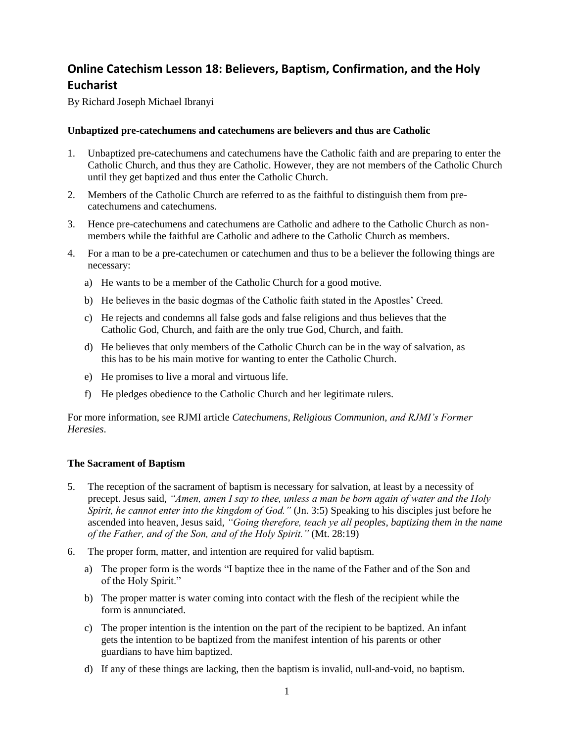# **Online Catechism Lesson 18: Believers, Baptism, Confirmation, and the Holy Eucharist**

By Richard Joseph Michael Ibranyi

#### **Unbaptized pre-catechumens and catechumens are believers and thus are Catholic**

- 1. Unbaptized pre-catechumens and catechumens have the Catholic faith and are preparing to enter the Catholic Church, and thus they are Catholic. However, they are not members of the Catholic Church until they get baptized and thus enter the Catholic Church.
- 2. Members of the Catholic Church are referred to as the faithful to distinguish them from precatechumens and catechumens.
- 3. Hence pre-catechumens and catechumens are Catholic and adhere to the Catholic Church as nonmembers while the faithful are Catholic and adhere to the Catholic Church as members.
- 4. For a man to be a pre-catechumen or catechumen and thus to be a believer the following things are necessary:
	- a) He wants to be a member of the Catholic Church for a good motive.
	- b) He believes in the basic dogmas of the Catholic faith stated in the Apostles' Creed.
	- c) He rejects and condemns all false gods and false religions and thus believes that the Catholic God, Church, and faith are the only true God, Church, and faith.
	- d) He believes that only members of the Catholic Church can be in the way of salvation, as this has to be his main motive for wanting to enter the Catholic Church.
	- e) He promises to live a moral and virtuous life.
	- f) He pledges obedience to the Catholic Church and her legitimate rulers.

For more information, see RJMI article *Catechumens, Religious Communion, and RJMI's Former Heresies*.

#### **The Sacrament of Baptism**

- 5. The reception of the sacrament of baptism is necessary for salvation, at least by a necessity of precept. Jesus said, *"Amen, amen I say to thee, unless a man be born again of water and the Holy Spirit, he cannot enter into the kingdom of God."* (Jn. 3:5) Speaking to his disciples just before he ascended into heaven, Jesus said, *"Going therefore, teach ye all peoples, baptizing them in the name of the Father, and of the Son, and of the Holy Spirit."* (Mt. 28:19)
- 6. The proper form, matter, and intention are required for valid baptism.
	- a) The proper form is the words "I baptize thee in the name of the Father and of the Son and of the Holy Spirit."
	- b) The proper matter is water coming into contact with the flesh of the recipient while the form is annunciated.
	- c) The proper intention is the intention on the part of the recipient to be baptized. An infant gets the intention to be baptized from the manifest intention of his parents or other guardians to have him baptized.
	- d) If any of these things are lacking, then the baptism is invalid, null-and-void, no baptism.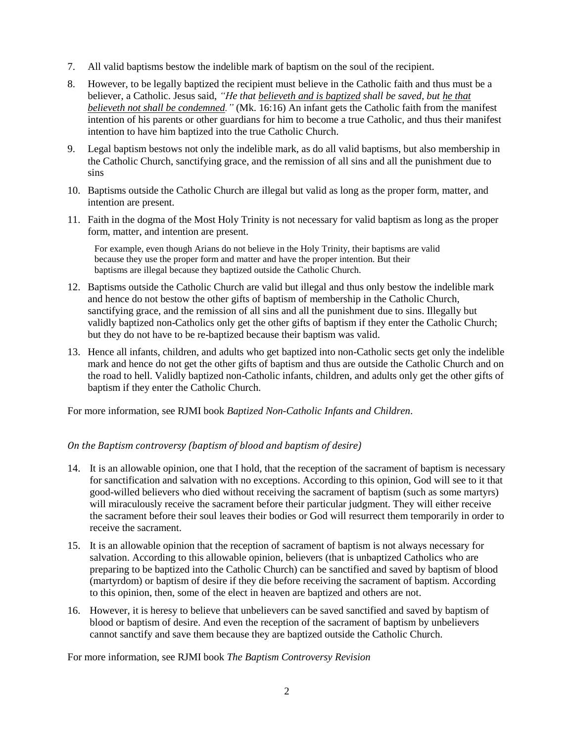- 7. All valid baptisms bestow the indelible mark of baptism on the soul of the recipient.
- 8. However, to be legally baptized the recipient must believe in the Catholic faith and thus must be a believer, a Catholic. Jesus said, *"He that believeth and is baptized shall be saved, but he that believeth not shall be condemned."* (Mk. 16:16) An infant gets the Catholic faith from the manifest intention of his parents or other guardians for him to become a true Catholic, and thus their manifest intention to have him baptized into the true Catholic Church.
- 9. Legal baptism bestows not only the indelible mark, as do all valid baptisms, but also membership in the Catholic Church, sanctifying grace, and the remission of all sins and all the punishment due to sins
- 10. Baptisms outside the Catholic Church are illegal but valid as long as the proper form, matter, and intention are present.
- 11. Faith in the dogma of the Most Holy Trinity is not necessary for valid baptism as long as the proper form, matter, and intention are present.

For example, even though Arians do not believe in the Holy Trinity, their baptisms are valid because they use the proper form and matter and have the proper intention. But their baptisms are illegal because they baptized outside the Catholic Church.

- 12. Baptisms outside the Catholic Church are valid but illegal and thus only bestow the indelible mark and hence do not bestow the other gifts of baptism of membership in the Catholic Church, sanctifying grace, and the remission of all sins and all the punishment due to sins. Illegally but validly baptized non-Catholics only get the other gifts of baptism if they enter the Catholic Church; but they do not have to be re-baptized because their baptism was valid.
- 13. Hence all infants, children, and adults who get baptized into non-Catholic sects get only the indelible mark and hence do not get the other gifts of baptism and thus are outside the Catholic Church and on the road to hell. Validly baptized non-Catholic infants, children, and adults only get the other gifts of baptism if they enter the Catholic Church.

For more information, see RJMI book *Baptized Non-Catholic Infants and Children*.

### *On the Baptism controversy (baptism of blood and baptism of desire)*

- 14. It is an allowable opinion, one that I hold, that the reception of the sacrament of baptism is necessary for sanctification and salvation with no exceptions. According to this opinion, God will see to it that good-willed believers who died without receiving the sacrament of baptism (such as some martyrs) will miraculously receive the sacrament before their particular judgment. They will either receive the sacrament before their soul leaves their bodies or God will resurrect them temporarily in order to receive the sacrament.
- 15. It is an allowable opinion that the reception of sacrament of baptism is not always necessary for salvation. According to this allowable opinion, believers (that is unbaptized Catholics who are preparing to be baptized into the Catholic Church) can be sanctified and saved by baptism of blood (martyrdom) or baptism of desire if they die before receiving the sacrament of baptism. According to this opinion, then, some of the elect in heaven are baptized and others are not.
- 16. However, it is heresy to believe that unbelievers can be saved sanctified and saved by baptism of blood or baptism of desire. And even the reception of the sacrament of baptism by unbelievers cannot sanctify and save them because they are baptized outside the Catholic Church.

For more information, see RJMI book *The Baptism Controversy Revision*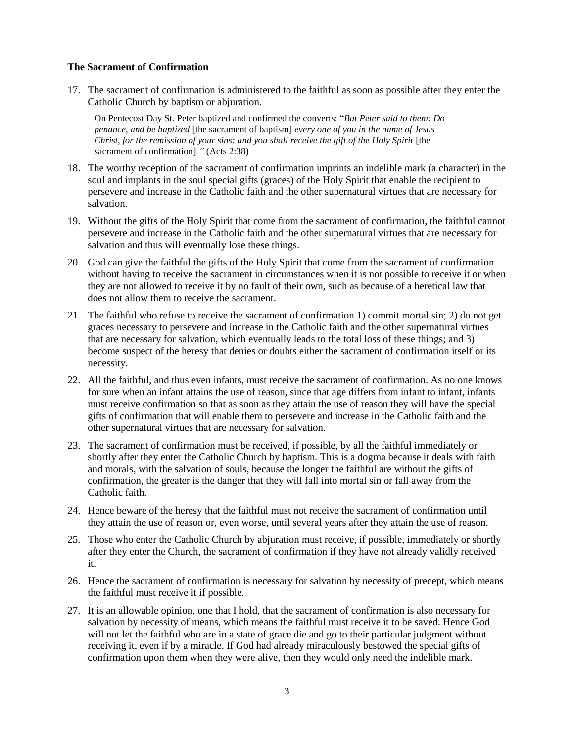#### **The Sacrament of Confirmation**

17. The sacrament of confirmation is administered to the faithful as soon as possible after they enter the Catholic Church by baptism or abjuration.

On Pentecost Day St. Peter baptized and confirmed the converts: "*But Peter said to them: Do penance, and be baptized* [the sacrament of baptism] *every one of you in the name of Jesus Christ, for the remission of your sins: and you shall receive the gift of the Holy Spirit* [the sacrament of confirmation]*."* (Acts 2:38)

- 18. The worthy reception of the sacrament of confirmation imprints an indelible mark (a character) in the soul and implants in the soul special gifts (graces) of the Holy Spirit that enable the recipient to persevere and increase in the Catholic faith and the other supernatural virtues that are necessary for salvation.
- 19. Without the gifts of the Holy Spirit that come from the sacrament of confirmation, the faithful cannot persevere and increase in the Catholic faith and the other supernatural virtues that are necessary for salvation and thus will eventually lose these things.
- 20. God can give the faithful the gifts of the Holy Spirit that come from the sacrament of confirmation without having to receive the sacrament in circumstances when it is not possible to receive it or when they are not allowed to receive it by no fault of their own, such as because of a heretical law that does not allow them to receive the sacrament.
- 21. The faithful who refuse to receive the sacrament of confirmation 1) commit mortal sin; 2) do not get graces necessary to persevere and increase in the Catholic faith and the other supernatural virtues that are necessary for salvation, which eventually leads to the total loss of these things; and 3) become suspect of the heresy that denies or doubts either the sacrament of confirmation itself or its necessity.
- 22. All the faithful, and thus even infants, must receive the sacrament of confirmation. As no one knows for sure when an infant attains the use of reason, since that age differs from infant to infant, infants must receive confirmation so that as soon as they attain the use of reason they will have the special gifts of confirmation that will enable them to persevere and increase in the Catholic faith and the other supernatural virtues that are necessary for salvation.
- 23. The sacrament of confirmation must be received, if possible, by all the faithful immediately or shortly after they enter the Catholic Church by baptism. This is a dogma because it deals with faith and morals, with the salvation of souls, because the longer the faithful are without the gifts of confirmation, the greater is the danger that they will fall into mortal sin or fall away from the Catholic faith.
- 24. Hence beware of the heresy that the faithful must not receive the sacrament of confirmation until they attain the use of reason or, even worse, until several years after they attain the use of reason.
- 25. Those who enter the Catholic Church by abjuration must receive, if possible, immediately or shortly after they enter the Church, the sacrament of confirmation if they have not already validly received it.
- 26. Hence the sacrament of confirmation is necessary for salvation by necessity of precept, which means the faithful must receive it if possible.
- 27. It is an allowable opinion, one that I hold, that the sacrament of confirmation is also necessary for salvation by necessity of means, which means the faithful must receive it to be saved. Hence God will not let the faithful who are in a state of grace die and go to their particular judgment without receiving it, even if by a miracle. If God had already miraculously bestowed the special gifts of confirmation upon them when they were alive, then they would only need the indelible mark.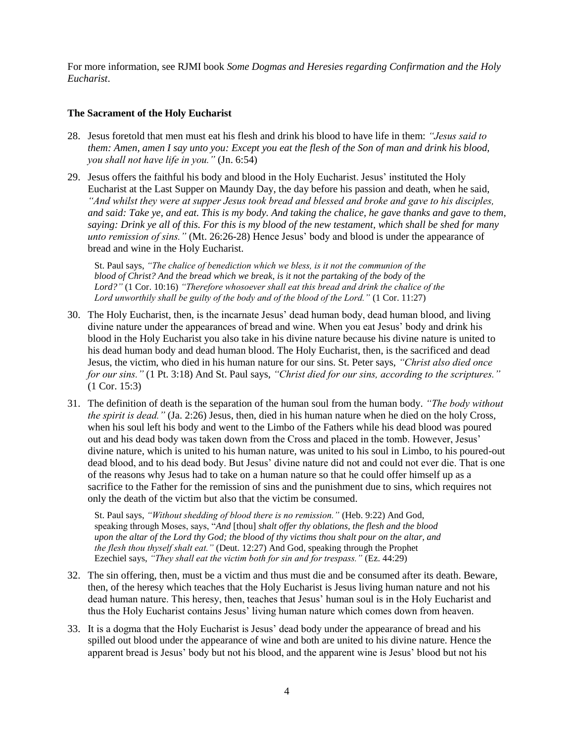For more information, see RJMI book *Some Dogmas and Heresies regarding Confirmation and the Holy Eucharist*.

## **The Sacrament of the Holy Eucharist**

- 28. Jesus foretold that men must eat his flesh and drink his blood to have life in them: *"Jesus said to them: Amen, amen I say unto you: Except you eat the flesh of the Son of man and drink his blood, you shall not have life in you."* (Jn. 6:54)
- 29. Jesus offers the faithful his body and blood in the Holy Eucharist. Jesus' instituted the Holy Eucharist at the Last Supper on Maundy Day, the day before his passion and death, when he said, *"And whilst they were at supper Jesus took bread and blessed and broke and gave to his disciples, and said: Take ye, and eat. This is my body. And taking the chalice, he gave thanks and gave to them, saying: Drink ye all of this. For this is my blood of the new testament, which shall be shed for many unto remission of sins."* (Mt. 26:26-28) Hence Jesus' body and blood is under the appearance of bread and wine in the Holy Eucharist.

St. Paul says, *"The chalice of benediction which we bless, is it not the communion of the blood of Christ? And the bread which we break, is it not the partaking of the body of the Lord?"* (1 Cor. 10:16) *"Therefore whosoever shall eat this bread and drink the chalice of the Lord unworthily shall be guilty of the body and of the blood of the Lord."* (1 Cor. 11:27)

- 30. The Holy Eucharist, then, is the incarnate Jesus' dead human body, dead human blood, and living divine nature under the appearances of bread and wine. When you eat Jesus' body and drink his blood in the Holy Eucharist you also take in his divine nature because his divine nature is united to his dead human body and dead human blood. The Holy Eucharist, then, is the sacrificed and dead Jesus, the victim, who died in his human nature for our sins. St. Peter says, *"Christ also died once for our sins."* (1 Pt. 3:18) And St. Paul says, *"Christ died for our sins, according to the scriptures."* (1 Cor. 15:3)
- 31. The definition of death is the separation of the human soul from the human body. *"The body without the spirit is dead."* (Ja. 2:26) Jesus, then, died in his human nature when he died on the holy Cross, when his soul left his body and went to the Limbo of the Fathers while his dead blood was poured out and his dead body was taken down from the Cross and placed in the tomb. However, Jesus' divine nature, which is united to his human nature, was united to his soul in Limbo, to his poured-out dead blood, and to his dead body. But Jesus' divine nature did not and could not ever die. That is one of the reasons why Jesus had to take on a human nature so that he could offer himself up as a sacrifice to the Father for the remission of sins and the punishment due to sins, which requires not only the death of the victim but also that the victim be consumed.

St. Paul says, *"Without shedding of blood there is no remission."* (Heb. 9:22) And God, speaking through Moses, says, "*And* [thou] *shalt offer thy oblations, the flesh and the blood upon the altar of the Lord thy God; the blood of thy victims thou shalt pour on the altar, and the flesh thou thyself shalt eat."* (Deut. 12:27) And God, speaking through the Prophet Ezechiel says, *"They shall eat the victim both for sin and for trespass."* (Ez. 44:29)

- 32. The sin offering, then, must be a victim and thus must die and be consumed after its death. Beware, then, of the heresy which teaches that the Holy Eucharist is Jesus living human nature and not his dead human nature. This heresy, then, teaches that Jesus' human soul is in the Holy Eucharist and thus the Holy Eucharist contains Jesus' living human nature which comes down from heaven.
- 33. It is a dogma that the Holy Eucharist is Jesus' dead body under the appearance of bread and his spilled out blood under the appearance of wine and both are united to his divine nature. Hence the apparent bread is Jesus' body but not his blood, and the apparent wine is Jesus' blood but not his